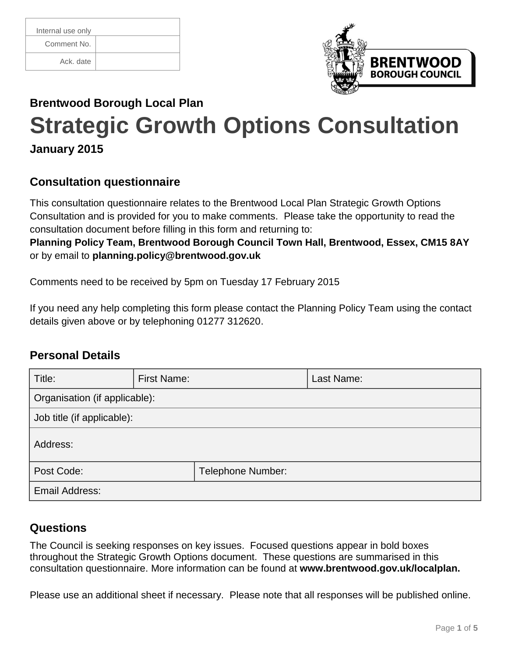| Internal use only |
|-------------------|
| Comment No.       |
| Ack. date         |



# **Brentwood Borough Local Plan Strategic Growth Options Consultation**

# **January 2015**

## **Consultation questionnaire**

This consultation questionnaire relates to the Brentwood Local Plan Strategic Growth Options Consultation and is provided for you to make comments. Please take the opportunity to read the consultation document before filling in this form and returning to:

**Planning Policy Team, Brentwood Borough Council Town Hall, Brentwood, Essex, CM15 8AY**  or by email to **[planning.policy@brentwood.gov.uk](mailto:planning.policy@brentwood.gov.uk)**

Comments need to be received by 5pm on Tuesday 17 February 2015

If you need any help completing this form please contact the Planning Policy Team using the contact details given above or by telephoning 01277 312620.

## **Personal Details**

| Title:                        | <b>First Name:</b> |                   | Last Name: |  |  |
|-------------------------------|--------------------|-------------------|------------|--|--|
| Organisation (if applicable): |                    |                   |            |  |  |
| Job title (if applicable):    |                    |                   |            |  |  |
| Address:                      |                    |                   |            |  |  |
| Post Code:                    |                    | Telephone Number: |            |  |  |
| Email Address:                |                    |                   |            |  |  |

## **Questions**

The Council is seeking responses on key issues. Focused questions appear in bold boxes throughout the Strategic Growth Options document. These questions are summarised in this consultation questionnaire. More information can be found at **[www.brentwood.gov.uk/localplan.](http://www.brentwood.gov.uk/localplan)**

Please use an additional sheet if necessary. Please note that all responses will be published online.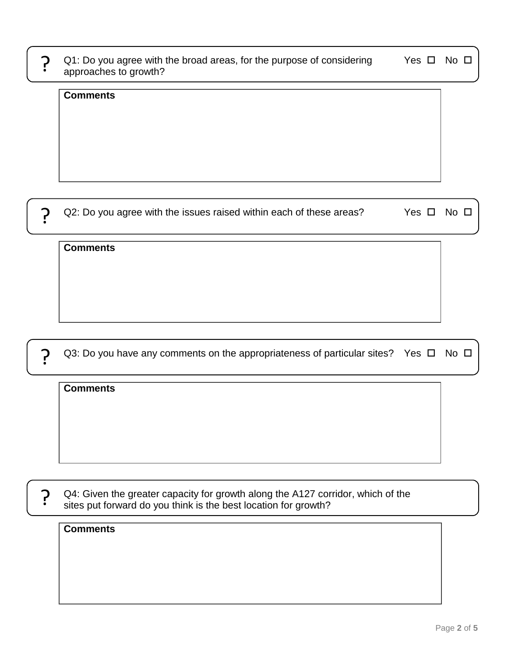| Q1: Do you agree with the broad areas, for the purpose of considering |  |
|-----------------------------------------------------------------------|--|
| approaches to growth?                                                 |  |

Yes  $\square$  No  $\square$ 

#### **Comments**

?

?

?

Q2: Do you agree with the issues raised within each of these areas? Yes  $\Box$  No  $\Box$ 

#### **Comments**

Q3: Do you have any comments on the appropriateness of particular sites? Yes  $\Box$  No  $\Box$ 

#### **Comments**

Q4: Given the greater capacity for growth along the A127 corridor, which of the sites put forward do you think is the best location for growth? ?

#### **Comments**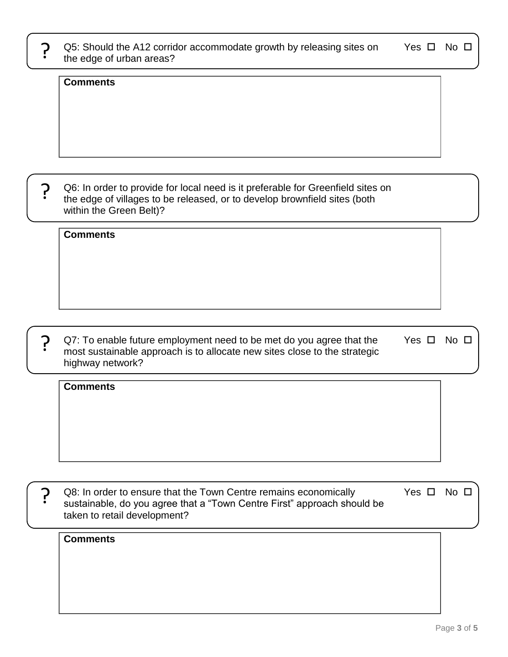| Page 3 of 5 |  |  |
|-------------|--|--|

Q8: In order to ensure that the Town Centre remains economically sustainable, do you agree that a "Town Centre First" approach should be taken to retail development? Yes  $\square$  No  $\square$ ?

Q7: To enable future employment need to be met do you agree that the most sustainable approach is to allocate new sites close to the strategic highway network? Yes  $\square$  No  $\square$ <u>?</u>

Q6: In order to provide for local need is it preferable for Greenfield sites on the edge of villages to be released, or to develop brownfield sites (both within the Green Belt)?

Q5: Should the A12 corridor accommodate growth by releasing sites on the edge of urban areas? ך<br>:

**Comments**

**Comments**

?

**Comments**

**Comments**

Yes  $\square$  No  $\square$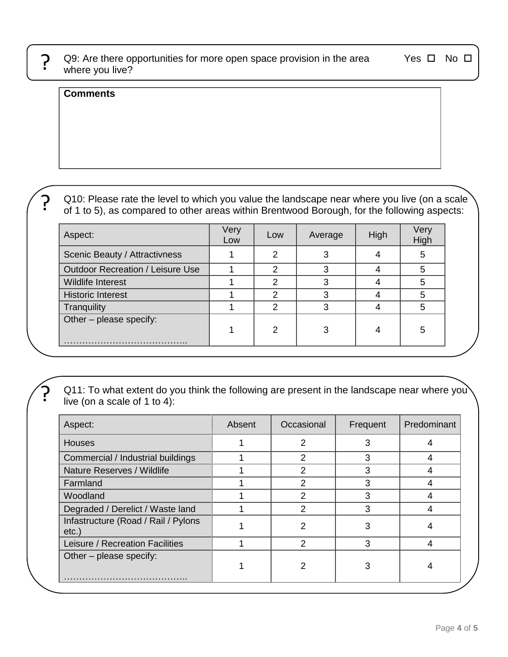<u>?</u>

Q9: Are there opportunities for more open space provision in the area where you live?

Yes  $\square$  No  $\square$ 

#### **Comments**

?

<u>?</u>

Q10: Please rate the level to which you value the landscape near where you live (on a scale of 1 to 5), as compared to other areas within Brentwood Borough, for the following aspects:

| Aspect:                                 | Very<br>Low | Low | Average | High | Very<br>High |
|-----------------------------------------|-------------|-----|---------|------|--------------|
| Scenic Beauty / Attractivness           |             | 2   |         |      | 5            |
| <b>Outdoor Recreation / Leisure Use</b> |             | າ   |         |      | 5            |
| Wildlife Interest                       |             | 2   | ว       |      | 5            |
| <b>Historic Interest</b>                |             | 2   |         |      | 5            |
| Tranquility                             |             | 2   | з       |      | 5            |
| $\vert$ Other – please specify:         |             | 2   | 3       |      | 5            |

Q11: To what extent do you think the following are present in the landscape near where you live (on a scale of 1 to 4):

| Aspect:                                     | Absent | Occasional     | Frequent | Predominant |
|---------------------------------------------|--------|----------------|----------|-------------|
| <b>Houses</b>                               |        | 2              | 3        |             |
| Commercial / Industrial buildings           |        | 2              | 3        | 4           |
| Nature Reserves / Wildlife                  |        | $\overline{2}$ | 3        |             |
| Farmland                                    |        | 2              | 3        |             |
| Woodland                                    |        | $\mathcal{P}$  | 3        |             |
| Degraded / Derelict / Waste land            |        | $\overline{2}$ | 3        |             |
| Infastructure (Road / Rail / Pylons<br>etc. |        | 2              | 3        |             |
| Leisure / Recreation Facilities             |        | $\mathcal{P}$  | 3        |             |
| Other - please specify:                     |        | 2              | 3        |             |